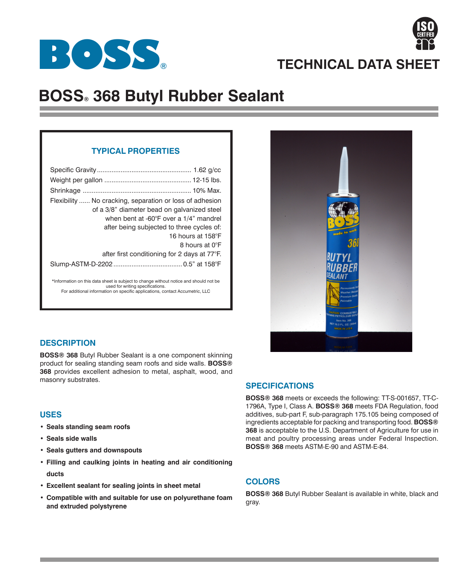



# **BOSS® 368 Butyl Rubber Sealant**

# **TYPICAL PROPERTIES**

| Flexibility  No cracking, separation or loss of adhesion<br>of a 3/8" diameter bead on galvanized steel<br>when bent at -60°F over a 1/4" mandrel<br>after being subjected to three cycles of:<br>16 hours at 158°F<br>8 hours at 0°F |
|---------------------------------------------------------------------------------------------------------------------------------------------------------------------------------------------------------------------------------------|
| after first conditioning for 2 days at $77^{\circ}$ F.                                                                                                                                                                                |
|                                                                                                                                                                                                                                       |
| *Information on this data sheet is subject to change without notice and should not be<br>used for writing specifications.<br>For additional information on specific applications, contact Accumetric, LLC                             |



# **DESCRIPTION**

**BOSS® 368** Butyl Rubber Sealant is a one component skinning product for sealing standing seam roofs and side walls. **BOSS® 368** provides excellent adhesion to metal, asphalt, wood, and masonry substrates.

# **USES**

- **Seals standing seam roofs**
- **Seals side walls**
- **Seals gutters and downspouts**
- **Filling and caulking joints in heating and air conditioning ducts**
- **Excellent sealant for sealing joints in sheet metal**
- **Compatible with and suitable for use on polyurethane foam and extruded polystyrene**

# **SPECIFICATIONS**

**BOSS® 368** meets or exceeds the following: TT-S-001657, TT-C-1796A, Type I, Class A. **BOSS® 368** meets FDA Regulation, food additives, sub-part F, sub-paragraph 175.105 being composed of ingredients acceptable for packing and transporting food. **BOSS® 368** is acceptable to the U.S. Department of Agriculture for use in meat and poultry processing areas under Federal Inspection. **BOSS® 368** meets ASTM-E-90 and ASTM-E-84.

## **COLORS**

**BOSS® 368** Butyl Rubber Sealant is available in white, black and gray.